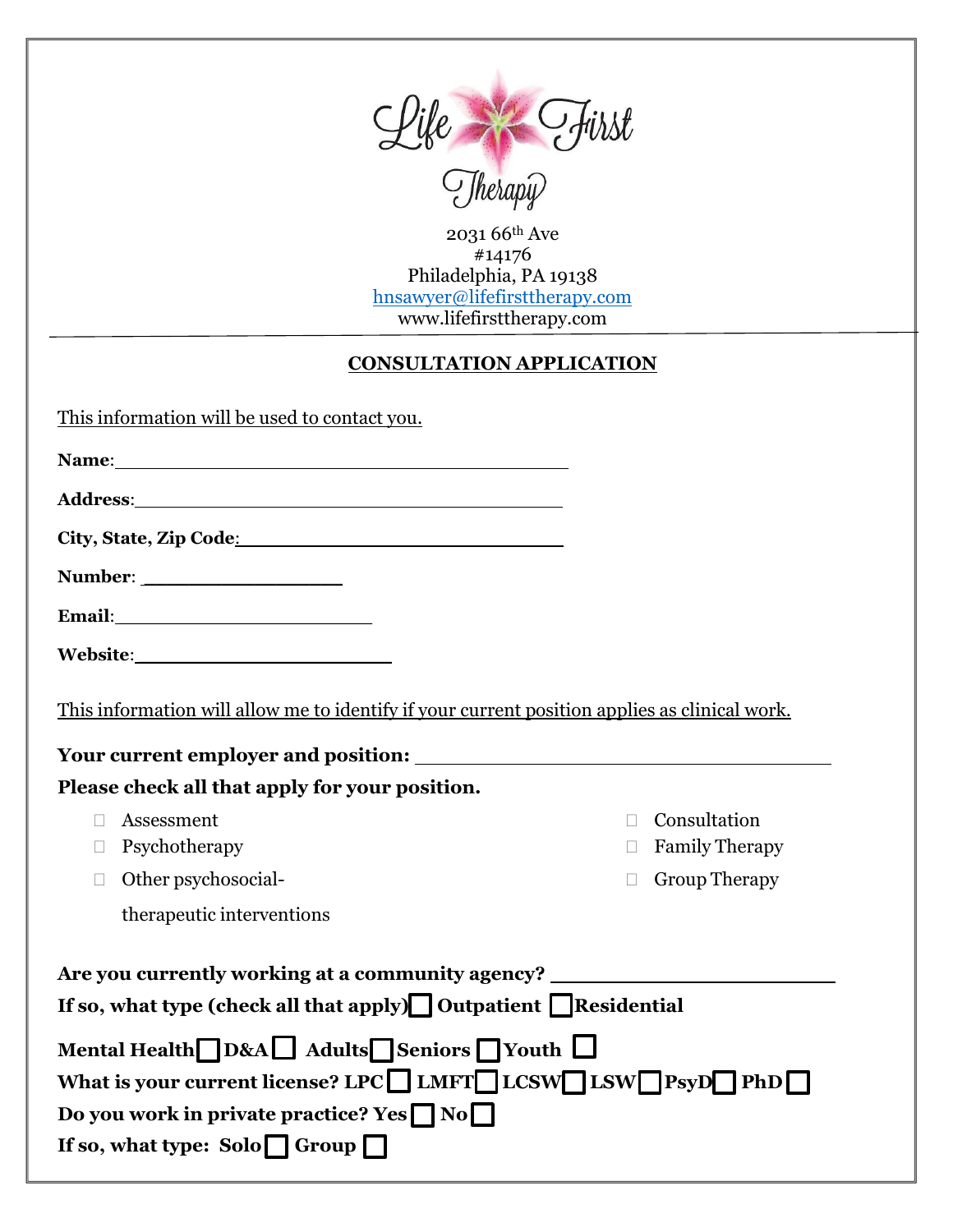

 $2031\,66^{\rm th}\,\rm{A}$ #14176 Philadelphia, PA 19138 [hnsawyer@lifefirsttherapy.com](mailto:hnsawyer@lifefirsttherapy.com) [www.lifefirsttherapy.com](http://www.lifefirsttherapy.com/)

| <b>CONSULTATION APPLICATION</b>                                                                                                                                                                                                                                                                                   |                       |                                                               |
|-------------------------------------------------------------------------------------------------------------------------------------------------------------------------------------------------------------------------------------------------------------------------------------------------------------------|-----------------------|---------------------------------------------------------------|
| This information will be used to contact you.                                                                                                                                                                                                                                                                     |                       |                                                               |
| Name: Name and the set of the set of the set of the set of the set of the set of the set of the set of the set of the set of the set of the set of the set of the set of the set of the set of the set of the set of the set o                                                                                    |                       |                                                               |
| Address: Andreas Address and the state of the state of the state of the state of the state of the state of the state of the state of the state of the state of the state of the state of the state of the state of the state o                                                                                    |                       |                                                               |
| City, State, Zip Code: 2000.                                                                                                                                                                                                                                                                                      |                       |                                                               |
|                                                                                                                                                                                                                                                                                                                   |                       |                                                               |
|                                                                                                                                                                                                                                                                                                                   |                       |                                                               |
|                                                                                                                                                                                                                                                                                                                   |                       |                                                               |
| This information will allow me to identify if your current position applies as clinical work.<br>Please check all that apply for your position.<br>Assessment<br>$\mathbf{L}$<br>Psychotherapy<br>$\Box$<br>Other psychosocial-<br>П.<br>therapeutic interventions                                                | $\Box$<br>$\Box$<br>П | Consultation<br><b>Family Therapy</b><br><b>Group Therapy</b> |
| Are you currently working at a community agency? _______________________________<br>If so, what type (check all that apply) Outpatient Residential<br>Mental Health D&A Adults Seniors Youth<br>What is your current license? LPC LMFT LCSW LSW PsyD PhD<br>Do you work in private practice? Yes $\Box$ No $\Box$ |                       |                                                               |
| If so, what type: $Solo \bigcap Group \bigcap$                                                                                                                                                                                                                                                                    |                       |                                                               |